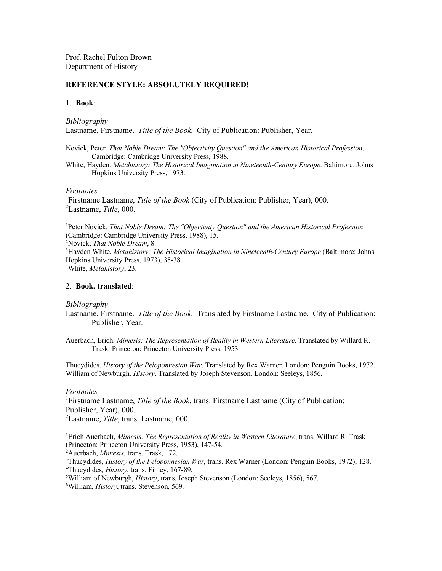Prof. Rachel Fulton Brown Department of History

### **REFERENCE STYLE: ABSOLUTELY REQUIRED!**

## 1. **Book**:

*Bibliography*

Lastname, Firstname. *Title of the Book*. City of Publication: Publisher, Year.

Novick, Peter. *That Noble Dream: The "Objectivity Question" and the American Historical Profession*. Cambridge: Cambridge University Press, 1988.

White, Hayden. *Metahistory: The Historical Imagination in Nineteenth-Century Europe*. Baltimore: Johns Hopkins University Press, 1973.

## *Footnotes*

1 Firstname Lastname, *Title of the Book* (City of Publication: Publisher, Year), 000. 2 Lastname, *Title*, 000.

<sup>1</sup>Peter Novick, *That Noble Dream: The "Objectivity Question" and the American Historical Profession* (Cambridge: Cambridge University Press, 1988), 15. 2 Novick, *That Noble Dream*, 8. <sup>3</sup>Hayden White, *Metahistory: The Historical Imagination in Nineteenth-Century Europe* (Baltimore: Johns Hopkins University Press, 1973), 35-38. 4 White, *Metahistory*, 23.

### 2. **Book, translated**:

#### *Bibliography*

- Lastname, Firstname. *Title of the Book*. Translated by Firstname Lastname. City of Publication: Publisher, Year.
- Auerbach, Erich. *Mimesis: The Representation of Reality in Western Literature*. Translated by Willard R. Trask. Princeton: Princeton University Press, 1953.

Thucydides. *History of the Peloponnesian War*. Translated by Rex Warner. London: Penguin Books, 1972. William of Newburgh. *History*. Translated by Joseph Stevenson. London: Seeleys, 1856.

### *Footnotes*

<sup>1</sup>Firstname Lastname, *Title of the Book*, trans. Firstname Lastname (City of Publication: Publisher, Year), 000.

2 Lastname, *Title*, trans. Lastname, 000.

<sup>1</sup>Erich Auerbach, *Mimesis: The Representation of Reality in Western Literature*, trans. Willard R. Trask (Princeton: Princeton University Press, 1953), 147-54.

2 Auerbach, *Mimesis*, trans. Trask, 172.

3 Thucydides, *History of the Peloponnesian War*, trans. Rex Warner (London: Penguin Books, 1972), 128. 4 Thucydides, *History*, trans. Finley, 167-89.

5 William of Newburgh, *History*, trans. Joseph Stevenson (London: Seeleys, 1856), 567.

6 William, *History*, trans. Stevenson, 569.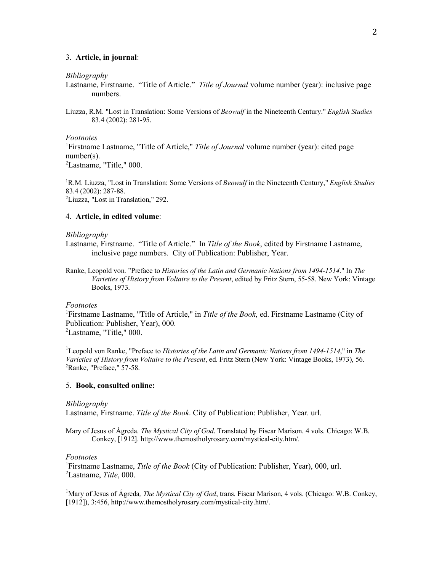## 3. **Article, in journal**:

#### *Bibliography*

Lastname, Firstname. "Title of Article." *Title of Journal* volume number (year): inclusive page numbers.

Liuzza, R.M. "Lost in Translation: Some Versions of *Beowulf* in the Nineteenth Century." *English Studies* 83.4 (2002): 281-95.

### *Footnotes*

<sup>1</sup>Firstname Lastname, "Title of Article," Title of Journal volume number (year): cited page number(s).

 ${}^{2}$ Lastname, "Title," 000.

1 R.M. Liuzza, "Lost in Translation: Some Versions of *Beowulf* in the Nineteenth Century," *English Studies* 83.4 (2002): 287-88. 2 Liuzza, "Lost in Translation," 292.

### 4. **Article, in edited volume**:

### *Bibliography*

- Lastname, Firstname. "Title of Article." In *Title of the Book*, edited by Firstname Lastname, inclusive page numbers. City of Publication: Publisher, Year.
- Ranke, Leopold von. "Preface to *Histories of the Latin and Germanic Nations from 1494-1514*." In *The Varieties of History from Voltaire to the Present*, edited by Fritz Stern, 55-58. New York: Vintage Books, 1973.

#### *Footnotes*

<sup>1</sup>Firstname Lastname, "Title of Article," in *Title of the Book*, ed. Firstname Lastname (City of Publication: Publisher, Year), 000.

 ${}^{2}$ Lastname, "Title," 000.

1 Leopold von Ranke, "Preface to *Histories of the Latin and Germanic Nations from 1494-1514*," in *The Varieties of History from Voltaire to the Present*, ed. Fritz Stern (New York: Vintage Books, 1973), 56. <sup>2</sup>Ranke, "Preface," 57-58.

### 5. **Book, consulted online:**

### *Bibliography*

Lastname, Firstname. *Title of the Book*. City of Publication: Publisher, Year. url.

Mary of Jesus of Ágreda. *The Mystical City of God*. Translated by Fiscar Marison. 4 vols. Chicago: W.B. Conkey, [1912]. http://www.themostholyrosary.com/mystical-city.htm/.

#### *Footnotes*

<sup>1</sup>Firstname Lastname, *Title of the Book* (City of Publication: Publisher, Year), 000, url. 2 Lastname, *Title*, 000.

<sup>1</sup>Mary of Jesus of Ágreda, *The Mystical City of God*, trans. Fiscar Marison, 4 vols. (Chicago: W.B. Conkey, [1912]), 3:456, http://www.themostholyrosary.com/mystical-city.htm/.